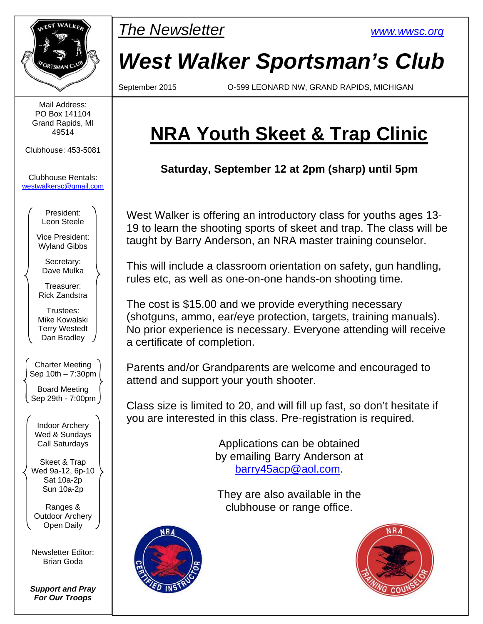

Mail Address: PO Box 141104 Grand Rapids, MI 49514

Clubhouse: 453-5081

Clubhouse Rentals: westwalkersc@gmail.com

> President: Leon Steele

Vice President: Wyland Gibbs

Secretary: Dave Mulka

Treasurer: Rick Zandstra

Trustees: Mike Kowalski Terry Westedt Dan Bradley

Charter Meeting Sep 10th – 7:30pm Board Meeting Sep 29th - 7:00pm

Indoor Archery Wed & Sundays Call Saturdays

Skeet & Trap Wed 9a-12, 6p-10 Sat 10a-2p Sun 10a-2p

Ranges & Outdoor Archery Open Daily

Newsletter Editor: Brian Goda

*Support and Pray For Our Troops* 



# *West Walker Sportsman's Club*

September 2015 O-599 LEONARD NW, GRAND RAPIDS, MICHIGAN

## **NRA Youth Skeet & Trap Clinic**

**Saturday, September 12 at 2pm (sharp) until 5pm** 

West Walker is offering an introductory class for youths ages 13- 19 to learn the shooting sports of skeet and trap. The class will be taught by Barry Anderson, an NRA master training counselor.

This will include a classroom orientation on safety, gun handling, rules etc, as well as one-on-one hands-on shooting time.

The cost is \$15.00 and we provide everything necessary (shotguns, ammo, ear/eye protection, targets, training manuals). No prior experience is necessary. Everyone attending will receive a certificate of completion.

Parents and/or Grandparents are welcome and encouraged to attend and support your youth shooter.

Class size is limited to 20, and will fill up fast, so don't hesitate if you are interested in this class. Pre-registration is required.

> Applications can be obtained by emailing Barry Anderson at barry45acp@aol.com.

They are also available in the clubhouse or range office.



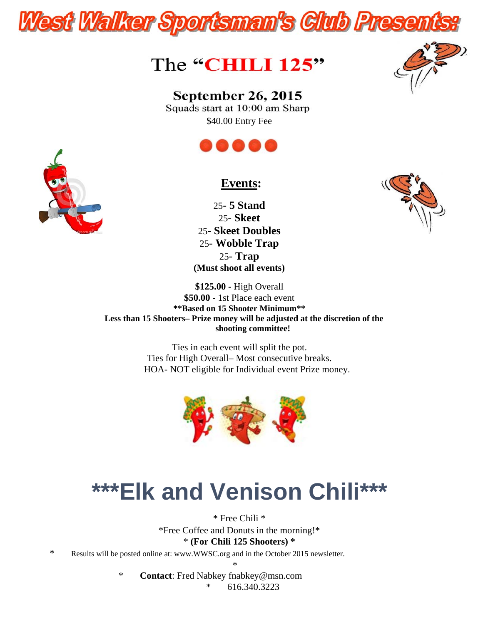



### **September 26, 2015**

Squads start at 10:00 am Sharp \$40.00 Entry Fee





25- **5 Stand** 25- **Skeet** 25- **Skeet Doubles** 25- **Wobble Trap** 25- **Trap (Must shoot all events)**



**\$125.00 -** High Overall **\$50.00 -** 1st Place each event **\*\*Based on 15 Shooter Minimum\*\* Less than 15 Shooters– Prize money will be adjusted at the discretion of the shooting committee!**

> Ties in each event will split the pot. Ties for High Overall– Most consecutive breaks. HOA- NOT eligible for Individual event Prize money.



# **\*\*\*Elk and Venison Chili\*\*\***

\* Free Chili \* \*Free Coffee and Donuts in the morning!\* \* **(For Chili 125 Shooters) \***

\* Results will be posted online at: www.WWSC.org and in the October 2015 newsletter.

\*

\* **Contact**: Fred Nabkey fnabkey@msn.com

616.340.3223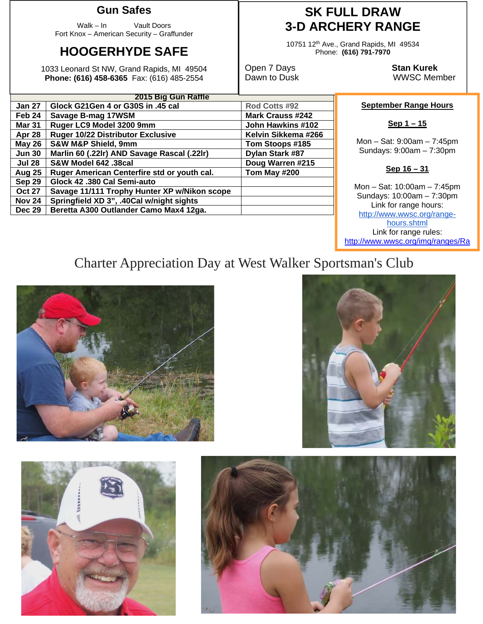#### **Gun Safes**

Walk – In Vault Doors Fort Knox – American Security – Graffunder

### **HOOGERHYDE SAFE**

1033 Leonard St NW, Grand Rapids, MI 49504 **Phone: (616) 458-6365** Fax: (616) 485-2554

### **SK FULL DRAW 3-D ARCHERY RANGE**

10751 12th Ave., Grand Rapids, MI 49534 Phone: **(616) 791-7970** 

**Open 7 Days Stan Kurek**<br>
Dawn to Dusk **Stan Kurek**<br>
WWSC Men

WWSC Member

#### **September Range Hours**

Mon – Sat: 9:00am – 7:45pm Sundays: 9:00am – 7:30pm

#### **Sep 16 – 31**

Mon – Sat: 10:00am – 7:45pm Sundays: 10:00am – 7:30pm Link for range hours: http://www.wwsc.org/rangehours.shtml Link for range rules: http://www.wwsc.org/img/ranges/Ra

## Charter Appreciation Day at West Walker Sportsman's Club









**2015 Big Gun Raffle**

| <b>Jan 27</b> | Glock G21Gen 4 or G30S in .45 cal            | Rod Cotts #92           |
|---------------|----------------------------------------------|-------------------------|
| Feb 24        | Savage B-mag 17WSM                           | <b>Mark Crauss #242</b> |
| <b>Mar 31</b> | Ruger LC9 Model 3200 9mm                     | John Hawkins #102       |
| Apr 28        | <b>Ruger 10/22 Distributor Exclusive</b>     | Kelvin Sikkema #266     |
| <b>May 26</b> | <b>S&amp;W M&amp;P Shield, 9mm</b>           | Tom Stoops #185         |
| <b>Jun 30</b> | Marlin 60 (.22lr) AND Savage Rascal (.22lr)  | Dylan Stark #87         |
| <b>Jul 28</b> | S&W Model 642 .38cal                         | Doug Warren #215        |
| <b>Aug 25</b> | Ruger American Centerfire std or youth cal.  | Tom May #200            |
| Sep 29        | Glock 42 .380 Cal Semi-auto                  |                         |
| <b>Oct 27</b> | Savage 11/111 Trophy Hunter XP w/Nikon scope |                         |
| <b>Nov 24</b> | Springfield XD 3", .40Cal w/night sights     |                         |
| <b>Dec 29</b> | Beretta A300 Outlander Camo Max4 12ga.       |                         |
|               |                                              |                         |

**Sep 1 – 15**